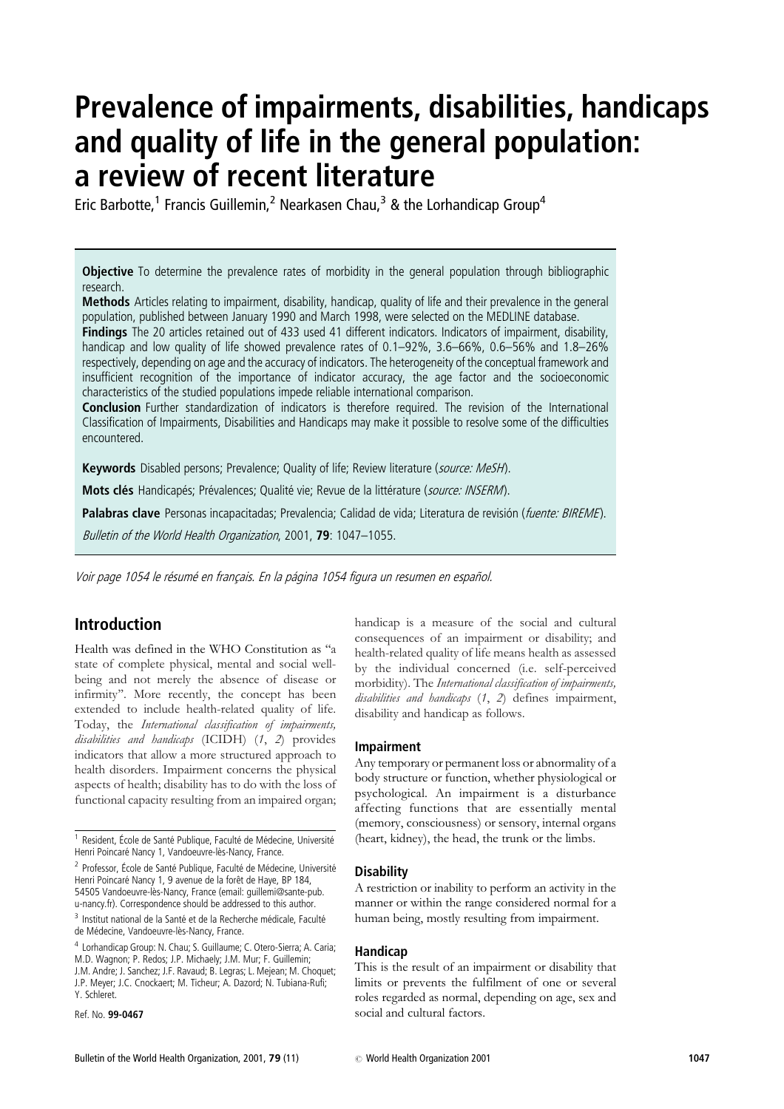# Prevalence of impairments, disabilities, handicaps and quality of life in the general population: a review of recent literature

Eric Barbotte,<sup>1</sup> Francis Guillemin,<sup>2</sup> Nearkasen Chau,<sup>3</sup> & the Lorhandicap Group<sup>4</sup>

**Objective** To determine the prevalence rates of morbidity in the general population through bibliographic research.

Methods Articles relating to impairment, disability, handicap, quality of life and their prevalence in the general population, published between January 1990 and March 1998, were selected on the MEDLINE database.

Findings The 20 articles retained out of 433 used 41 different indicators. Indicators of impairment, disability, handicap and low quality of life showed prevalence rates of 0.1–92%, 3.6–66%, 0.6–56% and 1.8–26% respectively, depending on age and the accuracy of indicators. The heterogeneity of the conceptual framework and insufficient recognition of the importance of indicator accuracy, the age factor and the socioeconomic characteristics of the studied populations impede reliable international comparison.

**Conclusion** Further standardization of indicators is therefore required. The revision of the International Classification of Impairments, Disabilities and Handicaps may make it possible to resolve some of the difficulties encountered.

Keywords Disabled persons; Prevalence; Quality of life; Review literature (source: MeSH).

Mots clés Handicapés; Prévalences; Qualité vie; Revue de la littérature (source: INSERM).

Palabras clave Personas incapacitadas; Prevalencia; Calidad de vida; Literatura de revisión (fuente: BIREME).

Bulletin of the World Health Organization, 2001, 79: 1047-1055.

Voir page 1054 le résumé en français. En la página 1054 figura un resumen en español.

# Introduction

Health was defined in the WHO Constitution as ''a state of complete physical, mental and social wellbeing and not merely the absence of disease or infirmity''. More recently, the concept has been extended to include health-related quality of life. Today, the International classification of impairments, disabilities and handicaps (ICIDH) (1, 2) provides indicators that allow a more structured approach to health disorders. Impairment concerns the physical aspects of health; disability has to do with the loss of functional capacity resulting from an impaired organ;

Ref. No. 99-0467

handicap is a measure of the social and cultural consequences of an impairment or disability; and health-related quality of life means health as assessed by the individual concerned (i.e. self-perceived morbidity). The International classification of impairments, disabilities and handicaps (1, 2) defines impairment, disability and handicap as follows.

#### Impairment

Any temporary or permanent loss or abnormality of a body structure or function, whether physiological or psychological. An impairment is a disturbance affecting functions that are essentially mental (memory, consciousness) or sensory, internal organs (heart, kidney), the head, the trunk or the limbs.

#### **Disability**

A restriction or inability to perform an activity in the manner or within the range considered normal for a human being, mostly resulting from impairment.

## Handicap

This is the result of an impairment or disability that limits or prevents the fulfilment of one or several roles regarded as normal, depending on age, sex and social and cultural factors.

 $1$  Resident, École de Santé Publique, Faculté de Médecine, Université Henri Poincaré Nancy 1, Vandoeuvre-lès-Nancy, France.

<sup>&</sup>lt;sup>2</sup> Professor, École de Santé Publique, Faculté de Médecine, Université Henri Poincaré Nancy 1, 9 avenue de la forêt de Haye, BP 184, 54505 Vandoeuvre-lès-Nancy, France (email: guillemi@sante-pub. u-nancy.fr). Correspondence should be addressed to this author.

<sup>&</sup>lt;sup>3</sup> Institut national de la Santé et de la Recherche médicale, Faculté de Médecine, Vandoeuvre-lès-Nancy, France.

<sup>4</sup> Lorhandicap Group: N. Chau; S. Guillaume; C. Otero-Sierra; A. Caria; M.D. Wagnon; P. Redos; J.P. Michaely; J.M. Mur; F. Guillemin; J.M. Andre; J. Sanchez; J.F. Ravaud; B. Legras; L. Mejean; M. Choquet; J.P. Meyer; J.C. Cnockaert; M. Ticheur; A. Dazord; N. Tubiana-Rufi; Y. Schleret.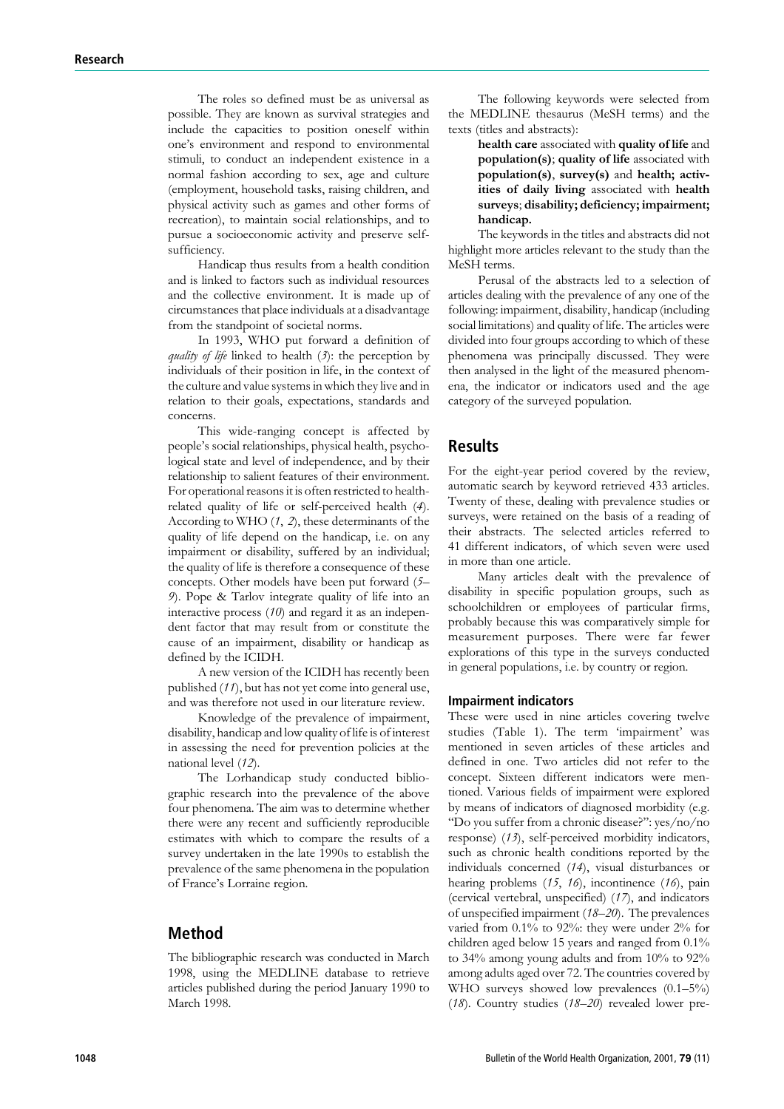The roles so defined must be as universal as possible. They are known as survival strategies and include the capacities to position oneself within one's environment and respond to environmental stimuli, to conduct an independent existence in a normal fashion according to sex, age and culture (employment, household tasks, raising children, and physical activity such as games and other forms of recreation), to maintain social relationships, and to pursue a socioeconomic activity and preserve selfsufficiency.

Handicap thus results from a health condition and is linked to factors such as individual resources and the collective environment. It is made up of circumstances that place individuals at a disadvantage from the standpoint of societal norms.

In 1993, WHO put forward a definition of quality of life linked to health  $(3)$ : the perception by individuals of their position in life, in the context of the culture and value systems in which they live and in relation to their goals, expectations, standards and concerns.

This wide-ranging concept is affected by people's social relationships, physical health, psychological state and level of independence, and by their relationship to salient features of their environment. For operational reasons it is often restricted to healthrelated quality of life or self-perceived health (4). According to WHO  $(1, 2)$ , these determinants of the quality of life depend on the handicap, i.e. on any impairment or disability, suffered by an individual; the quality of life is therefore a consequence of these concepts. Other models have been put forward (5– 9). Pope & Tarlov integrate quality of life into an interactive process (10) and regard it as an independent factor that may result from or constitute the cause of an impairment, disability or handicap as defined by the ICIDH.

A new version of the ICIDH has recently been published (11), but has not yet come into general use, and was therefore not used in our literature review.

Knowledge of the prevalence of impairment, disability, handicap and low quality of life is of interest in assessing the need for prevention policies at the national level (12).

The Lorhandicap study conducted bibliographic research into the prevalence of the above four phenomena. The aim was to determine whether there were any recent and sufficiently reproducible estimates with which to compare the results of a survey undertaken in the late 1990s to establish the prevalence of the same phenomena in the population of France's Lorraine region.

## Method

The bibliographic research was conducted in March 1998, using the MEDLINE database to retrieve articles published during the period January 1990 to March 1998.

The following keywords were selected from the MEDLINE thesaurus (MeSH terms) and the texts (titles and abstracts):

> health care associated with quality of life and population(s); quality of life associated with population(s), survey(s) and health; activities of daily living associated with health surveys; disability; deficiency; impairment; handicap.

The keywords in the titles and abstracts did not highlight more articles relevant to the study than the MeSH terms.

Perusal of the abstracts led to a selection of articles dealing with the prevalence of any one of the following: impairment, disability, handicap (including social limitations) and quality of life. The articles were divided into four groups according to which of these phenomena was principally discussed. They were then analysed in the light of the measured phenomena, the indicator or indicators used and the age category of the surveyed population.

# Results

For the eight-year period covered by the review, automatic search by keyword retrieved 433 articles. Twenty of these, dealing with prevalence studies or surveys, were retained on the basis of a reading of their abstracts. The selected articles referred to 41 different indicators, of which seven were used in more than one article.

Many articles dealt with the prevalence of disability in specific population groups, such as schoolchildren or employees of particular firms, probably because this was comparatively simple for measurement purposes. There were far fewer explorations of this type in the surveys conducted in general populations, i.e. by country or region.

#### Impairment indicators

These were used in nine articles covering twelve studies (Table 1). The term 'impairment' was mentioned in seven articles of these articles and defined in one. Two articles did not refer to the concept. Sixteen different indicators were mentioned. Various fields of impairment were explored by means of indicators of diagnosed morbidity (e.g. ''Do you suffer from a chronic disease?'': yes/no/no response) (13), self-perceived morbidity indicators, such as chronic health conditions reported by the individuals concerned (14), visual disturbances or hearing problems (15, 16), incontinence (16), pain (cervical vertebral, unspecified) (17), and indicators of unspecified impairment (18–20). The prevalences varied from 0.1% to 92%: they were under 2% for children aged below 15 years and ranged from 0.1% to 34% among young adults and from 10% to 92% among adults aged over 72. The countries covered by WHO surveys showed low prevalences (0.1–5%) (18). Country studies (18–20) revealed lower pre-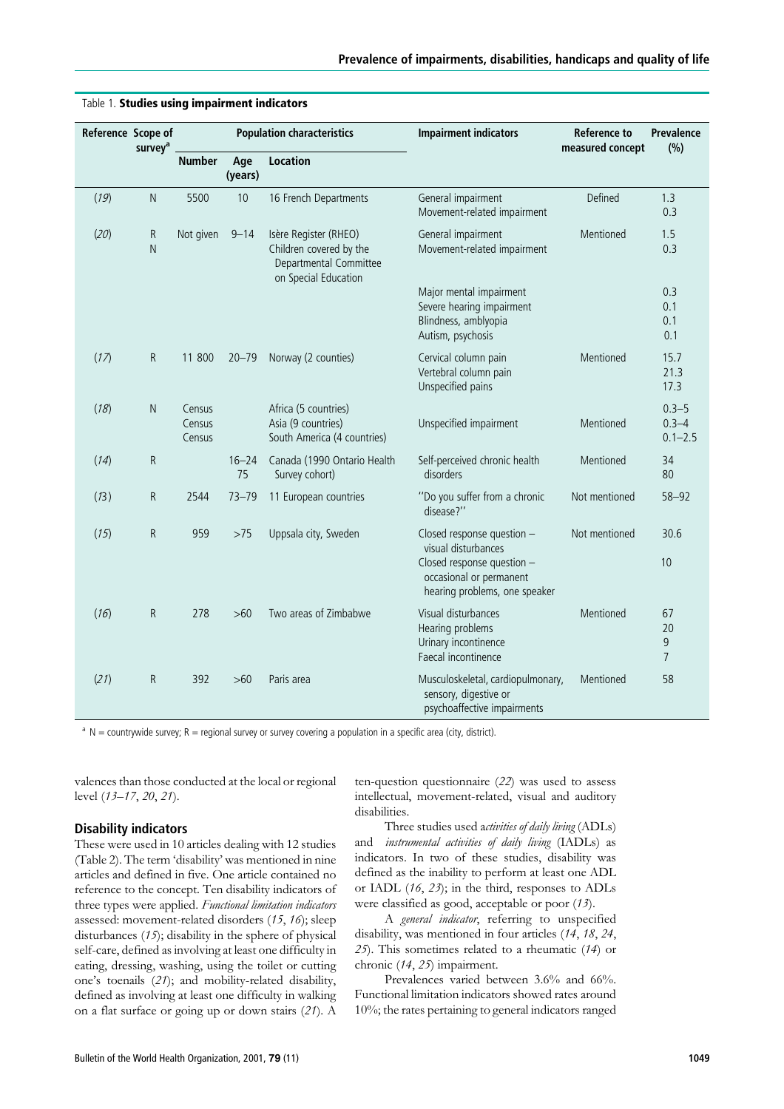| Reference Scope of | survey <sup>a</sup> | <b>Population characteristics</b> |                 |                                                                                                    | <b>Impairment indicators</b>                                                                      | Reference to<br>measured concept | Prevalence<br>(%)                     |
|--------------------|---------------------|-----------------------------------|-----------------|----------------------------------------------------------------------------------------------------|---------------------------------------------------------------------------------------------------|----------------------------------|---------------------------------------|
|                    |                     | <b>Number</b>                     | Age<br>(years)  | <b>Location</b>                                                                                    |                                                                                                   |                                  |                                       |
| (19)               | ${\sf N}$           | 5500                              | 10              | 16 French Departments                                                                              | General impairment<br>Movement-related impairment                                                 | Defined                          | 1.3<br>0.3                            |
| (20)               | R<br>N              | Not given                         | $9 - 14$        | Isère Register (RHEO)<br>Children covered by the<br>Departmental Committee<br>on Special Education | General impairment<br>Movement-related impairment                                                 | Mentioned                        | 1.5<br>0.3                            |
|                    |                     |                                   |                 |                                                                                                    | Major mental impairment<br>Severe hearing impairment<br>Blindness, amblyopia<br>Autism, psychosis |                                  | 0.3<br>0.1<br>0.1<br>0.1              |
| (17)               | R                   | 11 800                            | $20 - 79$       | Norway (2 counties)                                                                                | Cervical column pain<br>Vertebral column pain<br>Unspecified pains                                | Mentioned                        | 15.7<br>21.3<br>17.3                  |
| (18)               | $\mathsf{N}$        | Census<br>Census<br>Census        |                 | Africa (5 countries)<br>Asia (9 countries)<br>South America (4 countries)                          | Unspecified impairment                                                                            | Mentioned                        | $0.3 - 5$<br>$0.3 - 4$<br>$0.1 - 2.5$ |
| (14)               | R                   |                                   | $16 - 24$<br>75 | Canada (1990 Ontario Health<br>Survey cohort)                                                      | Self-perceived chronic health<br>disorders                                                        | Mentioned                        | 34<br>80                              |
| (13)               | R                   | 2544                              | $73 - 79$       | 11 European countries                                                                              | "Do you suffer from a chronic<br>disease?"                                                        | Not mentioned                    | $58 - 92$                             |
| (15)               | R                   | 959                               | >75             | Uppsala city, Sweden                                                                               | Closed response question -<br>visual disturbances                                                 | Not mentioned                    | 30.6                                  |
|                    |                     |                                   |                 |                                                                                                    | Closed response question -<br>occasional or permanent<br>hearing problems, one speaker            |                                  | 10                                    |
| (16)               | R                   | 278                               | >60             | Two areas of Zimbabwe                                                                              | Visual disturbances<br>Hearing problems<br>Urinary incontinence<br>Faecal incontinence            | Mentioned                        | 67<br>20<br>9<br>7                    |
| (21)               | R                   | 392                               | $>60$           | Paris area                                                                                         | Musculoskeletal, cardiopulmonary,<br>sensory, digestive or<br>psychoaffective impairments         | Mentioned                        | 58                                    |

#### Table 1. Studies using impairment indicators

 $a \text{ N}$  = countrywide survey; R = regional survey or survey covering a population in a specific area (city, district).

valences than those conducted at the local or regional level (13–17, 20, 21).

## Disability indicators

These were used in 10 articles dealing with 12 studies (Table 2). The term 'disability' was mentioned in nine articles and defined in five. One article contained no reference to the concept. Ten disability indicators of three types were applied. Functional limitation indicators assessed: movement-related disorders (15, 16); sleep disturbances (15); disability in the sphere of physical self-care, defined as involving at least one difficulty in eating, dressing, washing, using the toilet or cutting one's toenails (21); and mobility-related disability, defined as involving at least one difficulty in walking on a flat surface or going up or down stairs (21). A

ten-question questionnaire (22) was used to assess intellectual, movement-related, visual and auditory disabilities.

Three studies used activities of daily living (ADLs) and instrumental activities of daily living (IADLs) as indicators. In two of these studies, disability was defined as the inability to perform at least one ADL or IADL  $(16, 23)$ ; in the third, responses to ADLs were classified as good, acceptable or poor (13).

A general indicator, referring to unspecified disability, was mentioned in four articles (14, 18, 24, 25). This sometimes related to a rheumatic (14) or chronic (14, 25) impairment.

Prevalences varied between 3.6% and 66%. Functional limitation indicators showed rates around 10%; the rates pertaining to general indicators ranged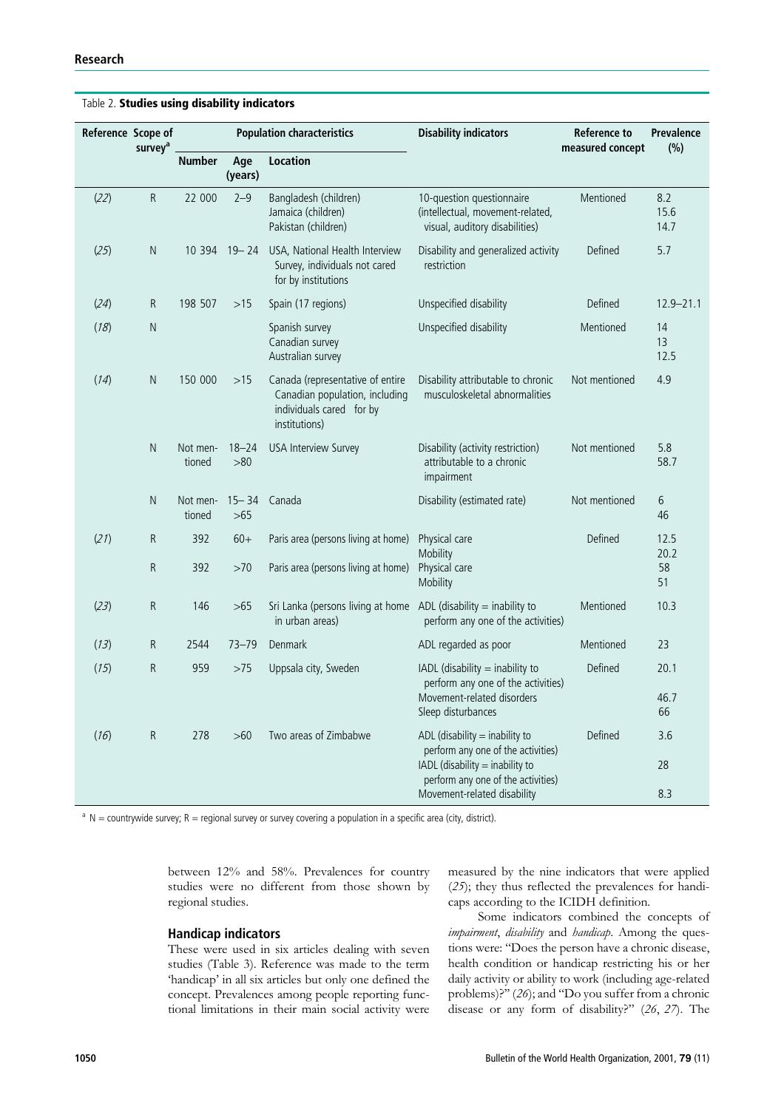|      | Reference Scope of<br>survey <sup>a</sup> |                    | <b>Population characteristics</b> |                                                                                                                 | <b>Disability indicators</b>                                                                          | <b>Reference to</b><br>measured concept | Prevalence<br>(%)   |
|------|-------------------------------------------|--------------------|-----------------------------------|-----------------------------------------------------------------------------------------------------------------|-------------------------------------------------------------------------------------------------------|-----------------------------------------|---------------------|
|      |                                           | <b>Number</b>      | Age<br>(years)                    | <b>Location</b>                                                                                                 |                                                                                                       |                                         |                     |
| (22) | R                                         | 22 000             | $2 - 9$                           | Bangladesh (children)<br>Jamaica (children)<br>Pakistan (children)                                              | 10-question questionnaire<br>(intellectual, movement-related,<br>visual, auditory disabilities)       | Mentioned                               | 8.2<br>15.6<br>14.7 |
| (25) | $\mathsf{N}$                              |                    | 10 394 19 - 24                    | USA, National Health Interview<br>Survey, individuals not cared<br>for by institutions                          | Disability and generalized activity<br>restriction                                                    | Defined                                 | 5.7                 |
| (24) | ${\sf R}$                                 | 198 507            | $>15$                             | Spain (17 regions)                                                                                              | Unspecified disability                                                                                | Defined                                 | $12.9 - 21.1$       |
| (18) | $\mathsf{N}$                              |                    |                                   | Spanish survey<br>Canadian survey<br>Australian survey                                                          | Unspecified disability                                                                                | Mentioned                               | 14<br>13<br>12.5    |
| (14) | $\mathsf{N}$                              | 150 000            | >15                               | Canada (representative of entire<br>Canadian population, including<br>individuals cared for by<br>institutions) | Disability attributable to chronic<br>musculoskeletal abnormalities                                   | Not mentioned                           | 4.9                 |
|      | ${\sf N}$                                 | Not men-<br>tioned | $18 - 24$<br>>80                  | <b>USA Interview Survey</b>                                                                                     | Disability (activity restriction)<br>attributable to a chronic<br>impairment                          | Not mentioned                           | 5.8<br>58.7         |
|      | $\mathsf{N}$                              | Not men-<br>tioned | $15 - 34$<br>>65                  | Canada                                                                                                          | Disability (estimated rate)                                                                           | Not mentioned                           | 6<br>46             |
| (21) | $\mathsf R$                               | 392                | $60+$                             | Paris area (persons living at home)                                                                             | Physical care<br>Mobility                                                                             | Defined                                 | 12.5<br>20.2        |
|      | R                                         | 392                | >70                               | Paris area (persons living at home)                                                                             | Physical care<br>Mobility                                                                             |                                         | 58<br>51            |
| (23) | R                                         | 146                | >65                               | Sri Lanka (persons living at home $ADL$ (disability = inability to<br>in urban areas)                           | perform any one of the activities)                                                                    | Mentioned                               | 10.3                |
| (13) | R                                         | 2544               | $73 - 79$                         | Denmark                                                                                                         | ADL regarded as poor                                                                                  | Mentioned                               | 23                  |
| (15) | R                                         | 959                | >75                               | Uppsala city, Sweden                                                                                            | IADL (disability $=$ inability to<br>perform any one of the activities)<br>Movement-related disorders | Defined                                 | 20.1<br>46.7        |
|      |                                           |                    |                                   |                                                                                                                 | Sleep disturbances                                                                                    |                                         | 66                  |
| (16) | $\mathsf R$                               | 278                | $>60$                             | Two areas of Zimbabwe                                                                                           | ADL (disability $=$ inability to<br>perform any one of the activities)                                | Defined                                 | 3.6                 |
|      |                                           |                    |                                   |                                                                                                                 | IADL (disability = inability to<br>perform any one of the activities)<br>Movement-related disability  |                                         | 28<br>8.3           |

Table 2. Studies using disability indicators

 $a \, N =$  countrywide survey; R = regional survey or survey covering a population in a specific area (city, district).

between 12% and 58%. Prevalences for country studies were no different from those shown by regional studies.

### Handicap indicators

These were used in six articles dealing with seven studies (Table 3). Reference was made to the term 'handicap' in all six articles but only one defined the concept. Prevalences among people reporting functional limitations in their main social activity were measured by the nine indicators that were applied (25); they thus reflected the prevalences for handicaps according to the ICIDH definition.

Some indicators combined the concepts of impairment, disability and handicap. Among the questions were: ''Does the person have a chronic disease, health condition or handicap restricting his or her daily activity or ability to work (including age-related problems)?'' (26); and ''Do you suffer from a chronic disease or any form of disability?'' (26, 27). The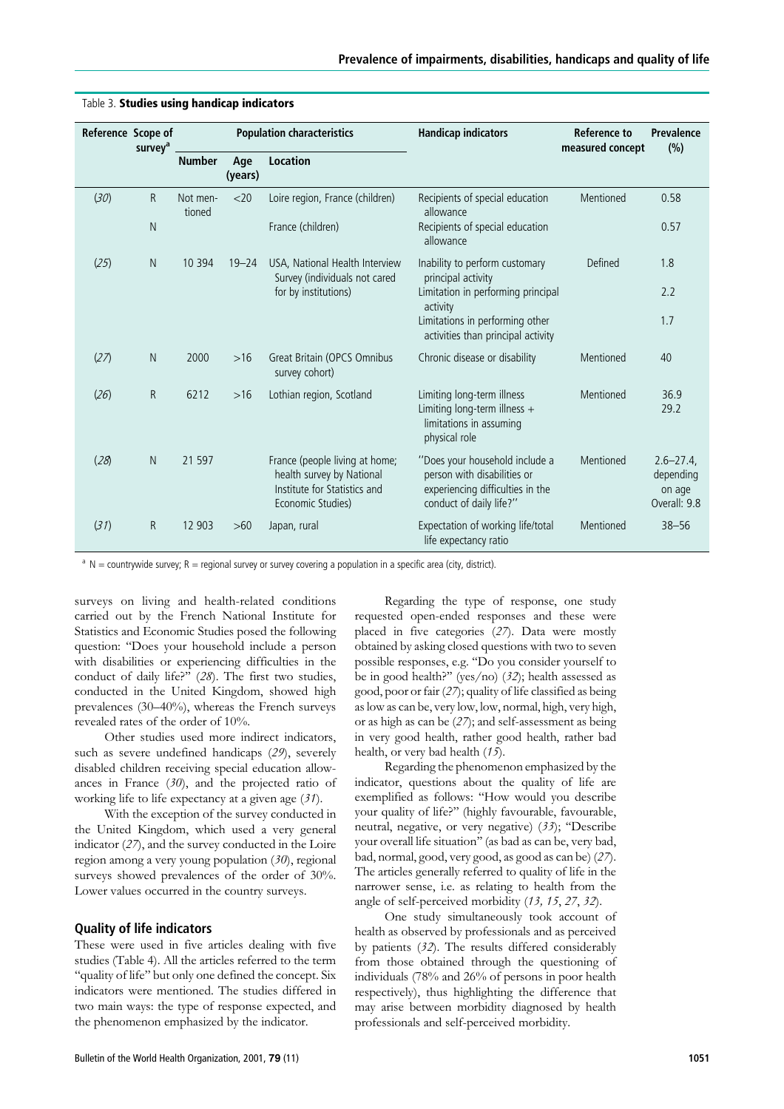|                    |                     |                                   |                |                                                                                                                  |                                                                                                                              | <b>Reference to</b> | Prevalence                                          |
|--------------------|---------------------|-----------------------------------|----------------|------------------------------------------------------------------------------------------------------------------|------------------------------------------------------------------------------------------------------------------------------|---------------------|-----------------------------------------------------|
| Reference Scope of | survey <sup>a</sup> | <b>Population characteristics</b> |                |                                                                                                                  | <b>Handicap indicators</b>                                                                                                   | measured concept    | (%)                                                 |
|                    |                     | <b>Number</b>                     | Age<br>(years) | <b>Location</b>                                                                                                  |                                                                                                                              |                     |                                                     |
| (30)               | R                   | Not men-<br>tioned                | $<$ 20         | Loire region, France (children)                                                                                  | Recipients of special education<br>allowance                                                                                 | Mentioned           | 0.58                                                |
|                    | N                   |                                   |                | France (children)                                                                                                | Recipients of special education<br>allowance                                                                                 |                     | 0.57                                                |
| (25)               | N                   | 10 3 9 4                          | $19 - 24$      | USA, National Health Interview<br>Survey (individuals not cared                                                  | Inability to perform customary<br>principal activity                                                                         | Defined             | 1.8                                                 |
|                    |                     |                                   |                | for by institutions)                                                                                             | Limitation in performing principal<br>activity                                                                               |                     | 2.2                                                 |
|                    |                     |                                   |                |                                                                                                                  | Limitations in performing other<br>activities than principal activity                                                        |                     | 1.7                                                 |
| (27)               | $\mathsf{N}$        | 2000                              | $>16$          | Great Britain (OPCS Omnibus<br>survey cohort)                                                                    | Chronic disease or disability                                                                                                | Mentioned           | 40                                                  |
| (26)               | R                   | 6212                              | $>16$          | Lothian region, Scotland                                                                                         | Limiting long-term illness<br>Limiting long-term illness $+$<br>limitations in assuming<br>physical role                     | Mentioned           | 36.9<br>29.2                                        |
| (28)               | N                   | 21 5 97                           |                | France (people living at home;<br>health survey by National<br>Institute for Statistics and<br>Economic Studies) | "Does your household include a<br>person with disabilities or<br>experiencing difficulties in the<br>conduct of daily life?" | Mentioned           | $2.6 - 27.4$<br>depending<br>on age<br>Overall: 9.8 |
| (31)               | R                   | 12 903                            | >60            | Japan, rural                                                                                                     | Expectation of working life/total<br>life expectancy ratio                                                                   | Mentioned           | $38 - 56$                                           |

#### Table 3. Studies using handicap indicators

 $a \, N =$  countrywide survey; R = regional survey or survey covering a population in a specific area (city, district).

surveys on living and health-related conditions carried out by the French National Institute for Statistics and Economic Studies posed the following question: ''Does your household include a person with disabilities or experiencing difficulties in the conduct of daily life?'' (28). The first two studies, conducted in the United Kingdom, showed high prevalences (30–40%), whereas the French surveys revealed rates of the order of 10%.

Other studies used more indirect indicators, such as severe undefined handicaps (29), severely disabled children receiving special education allowances in France (30), and the projected ratio of working life to life expectancy at a given age (31).

With the exception of the survey conducted in the United Kingdom, which used a very general indicator (27), and the survey conducted in the Loire region among a very young population (30), regional surveys showed prevalences of the order of 30%. Lower values occurred in the country surveys.

## Quality of life indicators

These were used in five articles dealing with five studies (Table 4). All the articles referred to the term ''quality of life'' but only one defined the concept. Six indicators were mentioned. The studies differed in two main ways: the type of response expected, and the phenomenon emphasized by the indicator.

in very good health, rather good health, rather bad health, or very bad health (15). Regarding the phenomenon emphasized by the indicator, questions about the quality of life are exemplified as follows: ''How would you describe your quality of life?'' (highly favourable, favourable, neutral, negative, or very negative) (33); ''Describe your overall life situation'' (as bad as can be, very bad, bad, normal, good, very good, as good as can be) (27).

> The articles generally referred to quality of life in the narrower sense, i.e. as relating to health from the angle of self-perceived morbidity (13, 15, 27, 32). One study simultaneously took account of

> Regarding the type of response, one study requested open-ended responses and these were placed in five categories (27). Data were mostly obtained by asking closed questions with two to seven possible responses, e.g. ''Do you consider yourself to be in good health?" (yes/no)  $(32)$ ; health assessed as good, poor or fair (27); quality of life classified as being as low as can be, very low, low, normal, high, very high, or as high as can be (27); and self-assessment as being

> health as observed by professionals and as perceived by patients (32). The results differed considerably from those obtained through the questioning of individuals (78% and 26% of persons in poor health respectively), thus highlighting the difference that may arise between morbidity diagnosed by health professionals and self-perceived morbidity.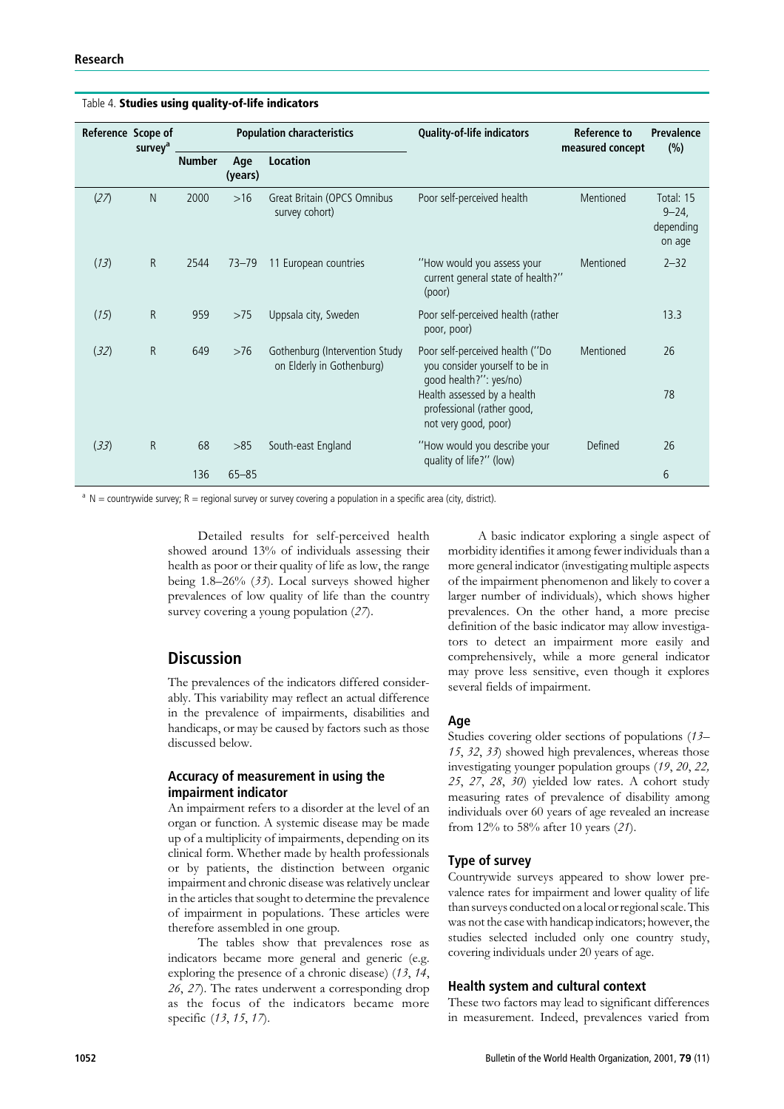| Reference Scope of | survey <sup>a</sup> | <b>Population characteristics</b> |                |                                                             | <b>Quality-of-life indicators</b>                                                           | <b>Reference to</b><br>measured concept | <b>Prevalence</b><br>(%)                     |
|--------------------|---------------------|-----------------------------------|----------------|-------------------------------------------------------------|---------------------------------------------------------------------------------------------|-----------------------------------------|----------------------------------------------|
|                    |                     | <b>Number</b>                     | Age<br>(years) | <b>Location</b>                                             |                                                                                             |                                         |                                              |
| (27)               | N                   | 2000                              | $>16$          | Great Britain (OPCS Omnibus<br>survey cohort)               | Poor self-perceived health                                                                  | Mentioned                               | Total: 15<br>$9 - 24$<br>depending<br>on age |
| (13)               | R.                  | 2544                              | $73 - 79$      | 11 European countries                                       | "How would you assess your<br>current general state of health?"<br>(poor)                   | Mentioned                               | $2 - 32$                                     |
| (15)               | R                   | 959                               | >75            | Uppsala city, Sweden                                        | Poor self-perceived health (rather<br>poor, poor)                                           |                                         | 13.3                                         |
| (32)               | R                   | 649                               | $>76$          | Gothenburg (Intervention Study<br>on Elderly in Gothenburg) | Poor self-perceived health ("Do<br>you consider yourself to be in<br>good health?": yes/no) | Mentioned                               | 26                                           |
|                    |                     |                                   |                |                                                             | Health assessed by a health<br>professional (rather good,<br>not very good, poor)           |                                         | 78                                           |
| (33)               | R                   | 68                                | >85            | South-east England                                          | "How would you describe your<br>quality of life?" (low)                                     | Defined                                 | 26                                           |
|                    |                     | 136                               | $65 - 85$      |                                                             |                                                                                             |                                         | 6                                            |

Table 4. Studies using quality-of-life indicators

 $a \, N =$  countrywide survey; R = regional survey or survey covering a population in a specific area (city, district).

Detailed results for self-perceived health showed around 13% of individuals assessing their health as poor or their quality of life as low, the range being 1.8–26% (33). Local surveys showed higher prevalences of low quality of life than the country survey covering a young population (27).

# **Discussion**

The prevalences of the indicators differed considerably. This variability may reflect an actual difference in the prevalence of impairments, disabilities and handicaps, or may be caused by factors such as those discussed below.

## Accuracy of measurement in using the impairment indicator

An impairment refers to a disorder at the level of an organ or function. A systemic disease may be made up of a multiplicity of impairments, depending on its clinical form. Whether made by health professionals or by patients, the distinction between organic impairment and chronic disease was relatively unclear in the articles that sought to determine the prevalence of impairment in populations. These articles were therefore assembled in one group.

The tables show that prevalences rose as indicators became more general and generic (e.g. exploring the presence of a chronic disease) (13, 14, 26, 27). The rates underwent a corresponding drop as the focus of the indicators became more specific (13, 15, 17).

A basic indicator exploring a single aspect of morbidity identifies it among fewer individuals than a more general indicator (investigating multiple aspects of the impairment phenomenon and likely to cover a larger number of individuals), which shows higher prevalences. On the other hand, a more precise definition of the basic indicator may allow investigators to detect an impairment more easily and comprehensively, while a more general indicator may prove less sensitive, even though it explores several fields of impairment.

## Age

Studies covering older sections of populations (13– 15, 32, 33) showed high prevalences, whereas those investigating younger population groups (19, 20, 22, 25, 27, 28, 30) yielded low rates. A cohort study measuring rates of prevalence of disability among individuals over 60 years of age revealed an increase from 12% to 58% after 10 years (21).

## Type of survey

Countrywide surveys appeared to show lower prevalence rates for impairment and lower quality of life than surveys conducted on a local or regional scale. This was not the case with handicap indicators; however, the studies selected included only one country study, covering individuals under 20 years of age.

## Health system and cultural context

These two factors may lead to significant differences in measurement. Indeed, prevalences varied from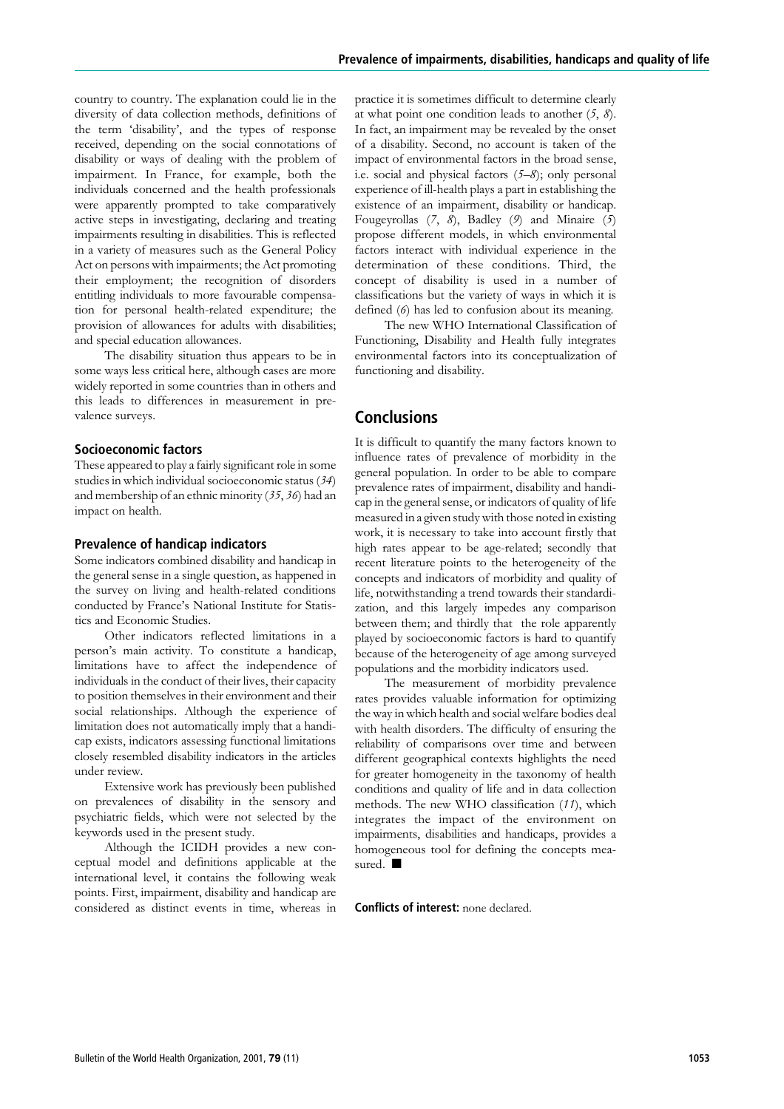country to country. The explanation could lie in the diversity of data collection methods, definitions of the term 'disability', and the types of response received, depending on the social connotations of disability or ways of dealing with the problem of impairment. In France, for example, both the individuals concerned and the health professionals were apparently prompted to take comparatively active steps in investigating, declaring and treating impairments resulting in disabilities. This is reflected in a variety of measures such as the General Policy Act on persons with impairments; the Act promoting their employment; the recognition of disorders entitling individuals to more favourable compensation for personal health-related expenditure; the provision of allowances for adults with disabilities; and special education allowances.

The disability situation thus appears to be in some ways less critical here, although cases are more widely reported in some countries than in others and this leads to differences in measurement in prevalence surveys.

#### Socioeconomic factors

These appeared to play a fairly significant role in some studies in which individual socioeconomic status (34) and membership of an ethnic minority (35, 36) had an impact on health.

## Prevalence of handicap indicators

Some indicators combined disability and handicap in the general sense in a single question, as happened in the survey on living and health-related conditions conducted by France's National Institute for Statistics and Economic Studies.

Other indicators reflected limitations in a person's main activity. To constitute a handicap, limitations have to affect the independence of individuals in the conduct of their lives, their capacity to position themselves in their environment and their social relationships. Although the experience of limitation does not automatically imply that a handicap exists, indicators assessing functional limitations closely resembled disability indicators in the articles under review.

Extensive work has previously been published on prevalences of disability in the sensory and psychiatric fields, which were not selected by the keywords used in the present study.

Although the ICIDH provides a new conceptual model and definitions applicable at the international level, it contains the following weak points. First, impairment, disability and handicap are considered as distinct events in time, whereas in practice it is sometimes difficult to determine clearly at what point one condition leads to another  $(5, 8)$ . In fact, an impairment may be revealed by the onset of a disability. Second, no account is taken of the impact of environmental factors in the broad sense, i.e. social and physical factors  $(5-8)$ ; only personal experience of ill-health plays a part in establishing the existence of an impairment, disability or handicap. Fougeyrollas  $(7, 8)$ , Badley  $(9)$  and Minaire  $(5)$ propose different models, in which environmental factors interact with individual experience in the determination of these conditions. Third, the concept of disability is used in a number of classifications but the variety of ways in which it is defined (6) has led to confusion about its meaning.

The new WHO International Classification of Functioning, Disability and Health fully integrates environmental factors into its conceptualization of functioning and disability.

## Conclusions

It is difficult to quantify the many factors known to influence rates of prevalence of morbidity in the general population. In order to be able to compare prevalence rates of impairment, disability and handicap in the general sense, or indicators of quality of life measured in a given study with those noted in existing work, it is necessary to take into account firstly that high rates appear to be age-related; secondly that recent literature points to the heterogeneity of the concepts and indicators of morbidity and quality of life, notwithstanding a trend towards their standardization, and this largely impedes any comparison between them; and thirdly that the role apparently played by socioeconomic factors is hard to quantify because of the heterogeneity of age among surveyed populations and the morbidity indicators used.

The measurement of morbidity prevalence rates provides valuable information for optimizing the way in which health and social welfare bodies deal with health disorders. The difficulty of ensuring the reliability of comparisons over time and between different geographical contexts highlights the need for greater homogeneity in the taxonomy of health conditions and quality of life and in data collection methods. The new WHO classification (11), which integrates the impact of the environment on impairments, disabilities and handicaps, provides a homogeneous tool for defining the concepts measured.  $\blacksquare$ 

Conflicts of interest: none declared.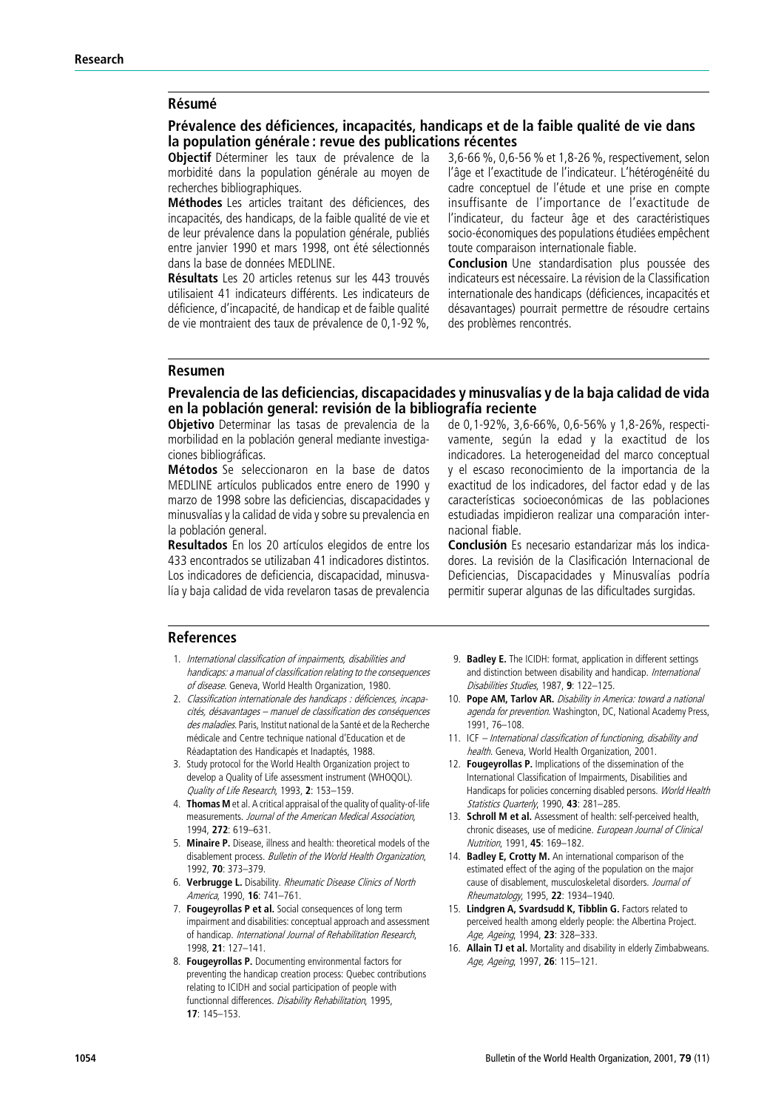## **Résumé**

## Prévalence des déficiences, incapacités, handicaps et de la faible qualité de vie dans la population générale : revue des publications récentes

Objectif Déterminer les taux de prévalence de la morbidité dans la population générale au moyen de recherches bibliographiques.

Méthodes Les articles traitant des déficiences, des incapacités, des handicaps, de la faible qualité de vie et de leur prévalence dans la population générale, publiés entre janvier 1990 et mars 1998, ont été sélectionnés dans la base de données MEDLINE.

Résultats Les 20 articles retenus sur les 443 trouvés utilisaient 41 indicateurs différents. Les indicateurs de déficience, d'incapacité, de handicap et de faible qualité de vie montraient des taux de prévalence de 0,1-92 %,

3,6-66 %, 0,6-56 % et 1,8-26 %, respectivement, selon l'âge et l'exactitude de l'indicateur. L'hétérogénéité du cadre conceptuel de l'étude et une prise en compte insuffisante de l'importance de l'exactitude de l'indicateur, du facteur âge et des caractéristiques socio-économiques des populations étudiées empêchent toute comparaison internationale fiable.

**Conclusion** Une standardisation plus poussée des indicateurs est nécessaire. La révision de la Classification internationale des handicaps (déficiences, incapacités et désavantages) pourrait permettre de résoudre certains des problèmes rencontrés.

#### Resumen

## Prevalencia de las deficiencias, discapacidades y minusvalías y de la baja calidad de vida en la población general: revisión de la bibliografía reciente

Objetivo Determinar las tasas de prevalencia de la morbilidad en la población general mediante investigaciones bibliográficas.

Métodos Se seleccionaron en la base de datos MEDLINE artículos publicados entre enero de 1990 y marzo de 1998 sobre las deficiencias, discapacidades y minusvalías y la calidad de vida y sobre su prevalencia en la población general.

Resultados En los 20 artículos elegidos de entre los 433 encontrados se utilizaban 41 indicadores distintos. Los indicadores de deficiencia, discapacidad, minusvalía y baja calidad de vida revelaron tasas de prevalencia

de 0,1-92%, 3,6-66%, 0,6-56% y 1,8-26%, respectivamente, según la edad y la exactitud de los indicadores. La heterogeneidad del marco conceptual y el escaso reconocimiento de la importancia de la exactitud de los indicadores, del factor edad y de las características socioeconómicas de las poblaciones estudiadas impidieron realizar una comparación internacional fiable.

Conclusión Es necesario estandarizar más los indicadores. La revisión de la Clasificación Internacional de Deficiencias, Discapacidades y Minusvalías podría permitir superar algunas de las dificultades surgidas.

## References

- 1. International classification of impairments, disabilities and handicaps: <sup>a</sup> manual of classification relating to the consequences of disease. Geneva, World Health Organization, 1980.
- 2. Classification internationale des handicaps : déficiences, incapacités, désavantages – manuel de classification des conséquences des maladies. Paris, Institut national de la Santé et de la Recherche médicale and Centre technique national d'Education et de Réadaptation des Handicapés et Inadaptés, 1988.
- 3. Study protocol for the World Health Organization project to develop a Quality of Life assessment instrument (WHOQOL). Quality of Life Research, 1993, 2: 153-159.
- 4. Thomas M et al. A critical appraisal of the quality of quality-of-life measurements. Journal of the American Medical Association, 1994, 272: 619–631.
- 5. Minaire P. Disease, illness and health: theoretical models of the disablement process. Bulletin of the World Health Organization, 1992, 70: 373–379.
- 6. Verbrugge L. Disability. Rheumatic Disease Clinics of North America, 1990, 16: 741–761.
- 7. Fougeyrollas P et al. Social consequences of long term impairment and disabilities: conceptual approach and assessment of handicap. International Journal of Rehabilitation Research, 1998, 21: 127–141.
- 8. **Fougeyrollas P.** Documenting environmental factors for preventing the handicap creation process: Quebec contributions relating to ICIDH and social participation of people with functionnal differences. Disability Rehabilitation, 1995, 17: 145–153.
- 9. Badley E. The ICIDH: format, application in different settings and distinction between disability and handicap. International Disabilities Studies, 1987, 9: 122-125.
- 10. Pope AM, Tarlov AR. Disability in America: toward a national agenda for prevention. Washington, DC, National Academy Press, 1991, 76–108.
- 11. ICF International classification of functioning, disability and health. Geneva, World Health Organization, 2001.
- 12. Fougeyrollas P. Implications of the dissemination of the International Classification of Impairments, Disabilities and Handicaps for policies concerning disabled persons. World Health Statistics Quarterly, 1990, 43: 281-285.
- 13. Schroll M et al. Assessment of health: self-perceived health, chronic diseases, use of medicine. European Journal of Clinical Nutrition, 1991, 45: 169–182.
- 14. Badley E, Crotty M. An international comparison of the estimated effect of the aging of the population on the major cause of disablement, musculoskeletal disorders. Journal of Rheumatology, 1995, 22: 1934-1940.
- 15. Lindgren A, Svardsudd K, Tibblin G. Factors related to perceived health among elderly people: the Albertina Project. Age, Ageing, 1994, 23: 328-333.
- 16. Allain TJ et al. Mortality and disability in elderly Zimbabweans. Age, Ageing, 1997, 26: 115–121.